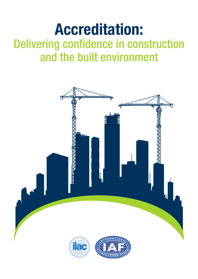# **Accreditation:** Delivering confidence in construction and the built environment

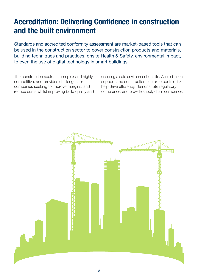## **Accreditation: Delivering Confidence in construction and the built environment**

Standards and accredited conformity assessment are market-based tools that can be used in the construction sector to cover construction products and materials, building techniques and practices, onsite Health & Safety, environmental impact, to even the use of digital technology in smart buildings.

The construction sector is complex and highly competitive, and provides challenges for companies seeking to improve margins, and reduce costs whilst improving build quality and ensuring a safe environment on site. Accreditation supports the construction sector to control risk, help drive efficiency, demonstrate regulatory compliance, and provide supply chain confidence.

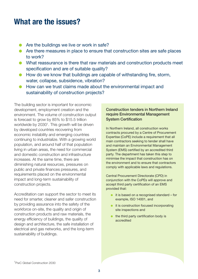### **What are the issues?**

- Are the buildings we live or work in safe?
- Are there measures in place to ensure that construction sites are safe places to work?
- What reassurance is there that raw materials and construction products meet specification and are of suitable quality?
- How do we know that buildings are capable of withstanding fire, storm, water, collapse, subsidence, vibration?
- How can we trust claims made about the environmental impact and sustainability of construction projects?

The building sector is important for economic development, employment creation and the environment. The volume of construction output is forecast to grow by 85% to \$15.5 trillion worldwide by 2030<sup>1</sup>. This growth will be driven by developed countries recovering from economic instability and emerging countries continuing to industrialize. With a growing world population, and around half of that population living in urban areas, the need for commercial and domestic construction and infrastructure increases. At the same time, there are diminishing natural resources, pressures on public and private finances pressures, and requirements placed on the environmental impact and long-term sustainability of construction projects.

Accreditation can support the sector to meet its need for smarter, cleaner and safer construction by providing assurance into the safety of the workforce on-site, the quality and origin of construction products and raw materials, the energy efficiency of buildings, the quality of design and architecture, the safe installation of electrical and gas networks, and the long-term sustainability of buildings.

#### Construction tenders in Northern Ireland require Environmental Management System Certification

In Northern Ireland, all construction works contracts procured by a Centre of Procurement Expertise (CoPE) include a requirement that all main contractors seeking to tender shall have and maintain an Environmental Management System (EMS) certified by an accredited third party. The department has taken this step to minimise the impact that construction has on the environment and to ensure that contractors comply with applicable laws and regulations.

Central Procurement Directorate (CPD) in conjunction with the CoPEs will approve and accept third party certification of an EMS provided that:

- it is based on a recognised standard for example, ISO 14001, and
- it is construction focused incorporating site inspections and
- the third party certification body is accredited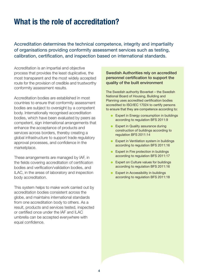### **What is the role of accreditation?**

Accreditation determines the technical competence, integrity and impartiality of organisations providing conformity assessment services such as testing, calibration, certification, and inspection based on international standards.

Accreditation is an impartial and objective process that provides the least duplicative, the most transparent and the most widely accepted route for the provision of credible and trustworthy conformity assessment results.

Accreditation bodies are established in most countries to ensure that conformity assessment bodies are subject to oversight by a competent body. Internationally recognised accreditation bodies, which have been evaluated by peers as competent, sign international arrangements that enhance the acceptance of products and services across borders, thereby creating a global infrastructure to support trade regulatory approval processes, and confidence in the marketplace.

These arrangements are managed by IAF, in the fields covering accreditation of certification bodies and verification/validation bodies, and ILAC, in the areas of laboratory and inspection body accreditation.

This system helps to make work carried out by accreditation bodies consistent across the globe, and maintains international standards from one accreditation body to others. As a result, products and services tested, inspected or certified once under the IAF and ILAC umbrella can be accepted everywhere with equal confidence.

#### Swedish Authorities rely on accredited personnel certification to support the quality of the built environment

The Swedish authority Boverket – the Swedish National Board of Housing, Building and Planning uses accredited certification bodies accredited to ISO/IEC 17024 to certify persons to ensure that they are competence according to:

- Expert in Energy consumption in buildings according to regulation BFS 2011:9
- Expert in Quality assurance during construction of buildings according to regulation BFS 2011:14
- Expert in Ventilation system in buildings according to regulation BFS 2011:16
- Expert in Fire protection in buildings according to regulation BFS 2011:17
- Expert on Culture values for buildings according to regulation BFS 2011:16
- Expert in Accessibility in buildings according to regulation BFS 2011:18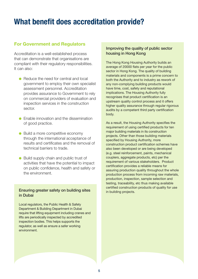### **What benefit does accreditation provide?**

### **For Government and Regulators**

Accreditation is a well-established process that can demonstrate that organisations are compliant with their regulatory responsibilities. It can also:

- Reduce the need for central and local government to employ their own specialist assessment personnel. Accreditation provides assurance to Government to rely on commercial providers of evaluation and inspection services in the construction sector.
- $\bullet$  Enable innovation and the dissemination of good practice.
- Build a more competitive economy through the international acceptance of results and certificates and the removal of technical barriers to trade.
- Build supply chain and public trust of activities that have the potential to impact on public confidence, health and safety or the environment.

#### Ensuring greater safety on building sites in Dubai

Local regulators, the Public Health & Safety Department & Building Department in Dubai require that lifting equipment including cranes and lifts are periodically inspected by accredited inspection bodies. This helps supports the regulator, as well as ensure a safer working environment.

### Improving the quality of public sector housing in Hong Kong

The Hong Kong Housing Authority builds an average of 20000 flats per year for the public sector in Hong Kong. The quality of building materials and components is a prime concern to both the Authority and to industry as rework of any non-complying building products would have time, cost, safety and reputational implications. The Housing Authority fully recognises that product certification is an upstream quality control process and it offers higher quality assurance through regular rigorous audits by a competent third party certification body.

As a result, the Housing Authority specifies the requirement of using certified products for ten major building materials in its construction projects. Other than those building materials specified by Housing Authority, more construction product certification schemes have also been developed or are being developed (e.g. steel reinforcement, paints, mechanical couplers, aggregate products, etc) per the requirement of various stakeholders. Product certification provides a reliable means for assuring production quality throughout the whole production process from incoming raw materials, production, inspection, sample selection and testing, traceability, etc thus making available certified construction products of quality for use in building projects.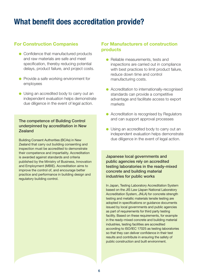### **What benefit does accreditation provide?**

### **For Construction Companies**

- Confidence that manufactured products and raw materials are safe and meet specification, thereby reducing potential delays, product failure, and project costs.
- Provide a safe working environment for employees
- Using an accredited body to carry out an independent evaluation helps demonstrate due diligence in the event of legal action.

### The competence of Building Control underpinned by accreditation in New Zealand

Building Consent Authorities (BCAs) in New Zealand that carry out building consenting and inspection must be accredited to demonstrate their competence and impartiality. Accreditation is awarded against standards and criteria published by the Ministry of Business, Innovation and Employment (MBIE). Accreditation aims to improve the control of, and encourage better practice and performance in building design and regulatory building control.

### **For Manufacturers of construction products**

- Reliable measurements, tests and inspections are carried out in compliance with best practices to limit product failure, reduce down time and control manufacturing costs.
- Accreditation to internationally-recognised standards can provide a competitive advantage and facilitate access to export markets
- Accreditation is recognised by Regulators and can support approval processes
- Using an accredited body to carry out an independent evaluation helps demonstrate due diligence in the event of legal action.

Japanese local governments and public agencies rely on accredited testing laboratories in the ready-mixed concrete and building material industries for public works

In Japan, Testing Laboratory Accreditation System based on the JIS Law (Japan National Laboratory Accreditation System, JNLA) for concrete strength testing and metallic materials tensile testing are adopted in specifications or guidance documents issued by local governments and public agencies as part of requirements for third party testing facility. Based on these requirements, for example in the ready-mixed concrete and building material industries, testing facilities are accredited according to ISO/IEC 17025 as testing laboratories so that they can deliver confidence in their test results and contribute in ensuring the safety of public construction and built environment.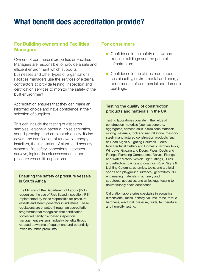### **What benefit does accreditation provide?**

### **For Building owners and Facilities Managers**

Owners of commercial properties or Facilities Managers are responsible for provide a safe and efficient environment which supports businesses and other types of organisations. Facilities managers use the services of external contractors to provide testing, inspection and certification services to monitor the safety of the built environment.

Accreditation ensures that they can make an informed choice and have confidence in their selection of suppliers.

This can include the testing of asbestos samples, legionella bacteria, noise acoustics, sound-proofing, and ambient air quality. It also covers the certification of renewable energy installers, the installation of alarm and security systems, fire safety inspections, asbestos surveys, legionella risk assessments, and pressure vessel lift inspections.

### Ensuring the safety of pressure vessels in South Africa

The Minister of the Department of Labour (DoL) recognises the use of Risk Based Inspection (RBI) implemented by those responsible for pressure vessels and steam generator in industries. These regulations are enacted through an accreditation programme that recognises that certification bodies will certify risk based inspection management systems. Industry benefits through reduced downtime of equipment, and potentially lower insurance premiums.

### **For consumers**

- Confidence in the safety of new and existing buildings and the general infrastructure.
- Confidence in the claims made about sustainability, environmental and energy performance of commercial and domestic buildings.

### Testing the quality of construction products and materials in the UK

Testing laboratories operate in the fields of construction materials (such as concrete, aggregates, cement, soils, bituminous materials, roofing materials, rock and natural stone, masonry, steel), manufactured construction products (such as Road Signs & Lighting Columns, Floors, Non Electrical Cutlery and Domestic Kitchen Tools, Windows, Glazing and Doors, Pipes, Ducts and Fittings, Plumbing Components, Valves, Fittings and Water Meters, Vehicle Light Fittings, Bulbs and reflectors, paints and coatings, Road Signs & Lighting Columns, ceramics, tools, and artificial sports and playground surfaces), geotextiles, NDT, engineering materials, machinery and structures, acoustics, and air leakage testing to deliver supply chain confidence.

Calibration laboratories specialise in acoustics, dimensional, mass, density, volume, force, torque hardness, electrical, pressure, fluids, temperature and humidity testing.